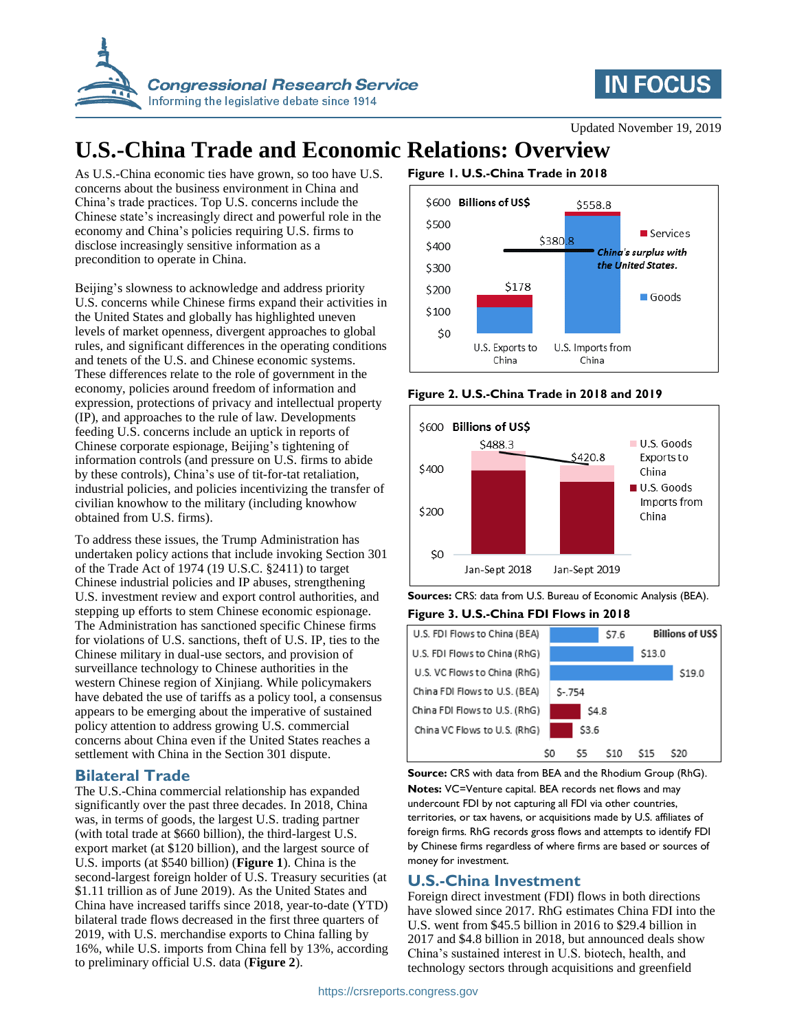



Updated November 19, 2019

# **U.S.-China Trade and Economic Relations: Overview**

As U.S.-China economic ties have grown, so too have U.S. concerns about the business environment in China and China's trade practices. Top U.S. concerns include the Chinese state's increasingly direct and powerful role in the economy and China's policies requiring U.S. firms to disclose increasingly sensitive information as a precondition to operate in China.

Beijing's slowness to acknowledge and address priority U.S. concerns while Chinese firms expand their activities in the United States and globally has highlighted uneven levels of market openness, divergent approaches to global rules, and significant differences in the operating conditions and tenets of the U.S. and Chinese economic systems. These differences relate to the role of government in the economy, policies around freedom of information and expression, protections of privacy and intellectual property (IP), and approaches to the rule of law. Developments feeding U.S. concerns include an uptick in reports of Chinese corporate espionage, Beijing's tightening of information controls (and pressure on U.S. firms to abide by these controls), China's use of tit-for-tat retaliation, industrial policies, and policies incentivizing the transfer of civilian knowhow to the military (including knowhow obtained from U.S. firms).

To address these issues, the Trump Administration has undertaken policy actions that include invoking Section 301 of the Trade Act of 1974 (19 U.S.C. §2411) to target Chinese industrial policies and IP abuses, strengthening U.S. investment review and export control authorities, and stepping up efforts to stem Chinese economic espionage. The Administration has sanctioned specific Chinese firms for violations of U.S. sanctions, theft of U.S. IP, ties to the Chinese military in dual-use sectors, and provision of surveillance technology to Chinese authorities in the western Chinese region of Xinjiang. While policymakers have debated the use of tariffs as a policy tool, a consensus appears to be emerging about the imperative of sustained policy attention to address growing U.S. commercial concerns about China even if the United States reaches a settlement with China in the Section 301 dispute.

#### **Bilateral Trade**

The U.S.-China commercial relationship has expanded significantly over the past three decades. In 2018, China was, in terms of goods, the largest U.S. trading partner (with total trade at \$660 billion), the third-largest U.S. export market (at \$120 billion), and the largest source of U.S. imports (at \$540 billion) (**Figure 1**). China is the second-largest foreign holder of U.S. Treasury securities (at \$1.11 trillion as of June 2019). As the United States and China have increased tariffs since 2018, year-to-date (YTD) bilateral trade flows decreased in the first three quarters of 2019, with U.S. merchandise exports to China falling by 16%, while U.S. imports from China fell by 13%, according to preliminary official U.S. data (**Figure 2**).

### **Figure 1. U.S.-China Trade in 2018**



#### **Figure 2. U.S.-China Trade in 2018 and 2019**



**Sources:** CRS: data from U.S. Bureau of Economic Analysis (BEA).

**Figure 3. U.S.-China FDI Flows in 2018**

| U.S. FDI Flows to China (BEA) |        | \$7.6 |     | <b>Billions of USS</b> |        |
|-------------------------------|--------|-------|-----|------------------------|--------|
| U.S. FDI Flows to China (RhG) |        |       |     | \$13.0                 |        |
| U.S. VC Flows to China (RhG)  |        |       |     |                        | \$19.0 |
| China FDI Flows to U.S. (BEA) | S-.754 |       |     |                        |        |
| China FDI Flows to U.S. (RhG) |        | \$4.8 |     |                        |        |
| China VC Flows to U.S. (RhG)  |        | \$3.6 |     |                        |        |
|                               | S0     | S5    | S10 | 515                    | S20    |

**Source:** CRS with data from BEA and the Rhodium Group (RhG). **Notes:** VC=Venture capital. BEA records net flows and may undercount FDI by not capturing all FDI via other countries, territories, or tax havens, or acquisitions made by U.S. affiliates of foreign firms. RhG records gross flows and attempts to identify FDI by Chinese firms regardless of where firms are based or sources of money for investment.

#### **U.S.-China Investment**

Foreign direct investment (FDI) flows in both directions have slowed since 2017. RhG estimates China FDI into the U.S. went from \$45.5 billion in 2016 to \$29.4 billion in 2017 and \$4.8 billion in 2018, but announced deals show China's sustained interest in U.S. biotech, health, and technology sectors through acquisitions and greenfield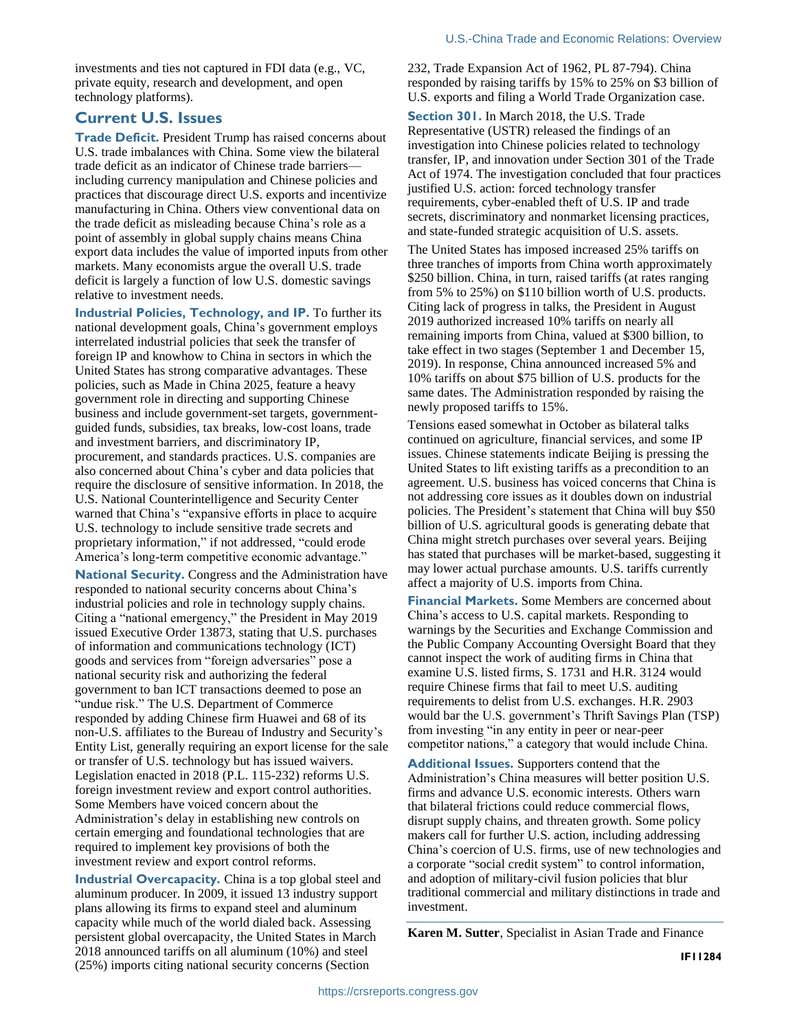investments and ties not captured in FDI data (e.g., VC, private equity, research and development, and open technology platforms).

#### **Current U.S. Issues**

**Trade Deficit.** President Trump has raised concerns about U.S. trade imbalances with China. Some view the bilateral trade deficit as an indicator of Chinese trade barriers including currency manipulation and Chinese policies and practices that discourage direct U.S. exports and incentivize manufacturing in China. Others view conventional data on the trade deficit as misleading because China's role as a point of assembly in global supply chains means China export data includes the value of imported inputs from other markets. Many economists argue the overall U.S. trade deficit is largely a function of low U.S. domestic savings relative to investment needs.

**Industrial Policies, Technology, and IP.** To further its national development goals, China's government employs interrelated industrial policies that seek the transfer of foreign IP and knowhow to China in sectors in which the United States has strong comparative advantages. These policies, such as Made in China 2025*,* feature a heavy government role in directing and supporting Chinese business and include government-set targets, governmentguided funds, subsidies, tax breaks, low-cost loans, trade and investment barriers, and discriminatory IP, procurement, and standards practices. U.S. companies are also concerned about China's cyber and data policies that require the disclosure of sensitive information. In 2018, the U.S. National Counterintelligence and Security Center warned that China's "expansive efforts in place to acquire U.S. technology to include sensitive trade secrets and proprietary information," if not addressed, "could erode America's long-term competitive economic advantage."

**National Security.** Congress and the Administration have responded to national security concerns about China's industrial policies and role in technology supply chains. Citing a "national emergency," the President in May 2019 issued Executive Order 13873, stating that U.S. purchases of information and communications technology (ICT) goods and services from "foreign adversaries" pose a national security risk and authorizing the federal government to ban ICT transactions deemed to pose an "undue risk." The U.S. Department of Commerce responded by adding Chinese firm Huawei and 68 of its non-U.S. affiliates to the Bureau of Industry and Security's Entity List, generally requiring an export license for the sale or transfer of U.S. technology but has issued waivers. Legislation enacted in 2018 (P.L. 115-232) reforms U.S. foreign investment review and export control authorities. Some Members have voiced concern about the Administration's delay in establishing new controls on certain emerging and foundational technologies that are required to implement key provisions of both the investment review and export control reforms.

**Industrial Overcapacity.** China is a top global steel and aluminum producer. In 2009, it issued 13 industry support plans allowing its firms to expand steel and aluminum capacity while much of the world dialed back. Assessing persistent global overcapacity, the United States in March 2018 announced tariffs on all aluminum (10%) and steel (25%) imports citing national security concerns (Section

232, Trade Expansion Act of 1962, PL 87-794). China responded by raising tariffs by 15% to 25% on \$3 billion of U.S. exports and filing a World Trade Organization case.

**Section 301.** In March 2018, the U.S. Trade Representative (USTR) released the findings of an investigation into Chinese policies related to technology transfer, IP, and innovation under Section 301 of the Trade Act of 1974. The investigation concluded that four practices justified U.S. action: forced technology transfer requirements, cyber-enabled theft of U.S. IP and trade secrets, discriminatory and nonmarket licensing practices, and state-funded strategic acquisition of U.S. assets.

The United States has imposed increased 25% tariffs on three tranches of imports from China worth approximately \$250 billion. China, in turn, raised tariffs (at rates ranging from 5% to 25%) on \$110 billion worth of U.S. products. Citing lack of progress in talks, the President in August 2019 authorized increased 10% tariffs on nearly all remaining imports from China, valued at \$300 billion, to take effect in two stages (September 1 and December 15, 2019). In response, China announced increased 5% and 10% tariffs on about \$75 billion of U.S. products for the same dates. The Administration responded by raising the newly proposed tariffs to 15%.

Tensions eased somewhat in October as bilateral talks continued on agriculture, financial services, and some IP issues. Chinese statements indicate Beijing is pressing the United States to lift existing tariffs as a precondition to an agreement. U.S. business has voiced concerns that China is not addressing core issues as it doubles down on industrial policies. The President's statement that China will buy \$50 billion of U.S. agricultural goods is generating debate that China might stretch purchases over several years. Beijing has stated that purchases will be market-based, suggesting it may lower actual purchase amounts. U.S. tariffs currently affect a majority of U.S. imports from China.

**Financial Markets.** Some Members are concerned about China's access to U.S. capital markets. Responding to warnings by the Securities and Exchange Commission and the Public Company Accounting Oversight Board that they cannot inspect the work of auditing firms in China that examine U.S. listed firms, S. 1731 and H.R. 3124 would require Chinese firms that fail to meet U.S. auditing requirements to delist from U.S. exchanges. H.R. 2903 would bar the U.S. government's Thrift Savings Plan (TSP) from investing "in any entity in peer or near-peer competitor nations," a category that would include China.

**Additional Issues.** Supporters contend that the Administration's China measures will better position U.S. firms and advance U.S. economic interests. Others warn that bilateral frictions could reduce commercial flows, disrupt supply chains, and threaten growth. Some policy makers call for further U.S. action, including addressing China's coercion of U.S. firms, use of new technologies and a corporate "social credit system" to control information, and adoption of military-civil fusion policies that blur traditional commercial and military distinctions in trade and investment.

**Karen M. Sutter**, Specialist in Asian Trade and Finance